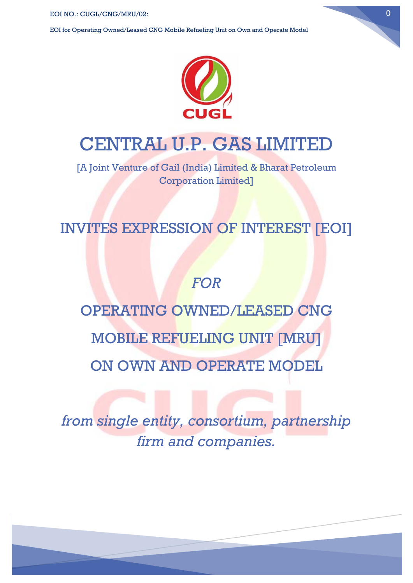EOI for Operating Owned/Leased CNG Mobile Refueling Unit on Own and Operate Model



## CENTRAL U.P. GAS LIMITED

[A Joint Venture of Gail (India) Limited & Bharat Petroleum Corporation Limited]

## INVITES EXPRESSION OF INTEREST [EOI]

## *FOR*

# OPERATING OWNED/LEASED CNG

MOBILE REFUELING UNIT [MRU]

ON OWN AND OPERATE MODEL

*from single entity, consortium, partnership firm and companies.*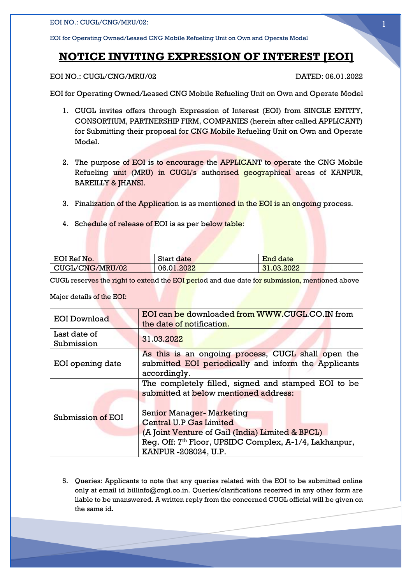EOI for Operating Owned/Leased CNG Mobile Refueling Unit on Own and Operate Model

#### **NOTICE INVITING EXPRESSION OF INTEREST [EOI]**

EOI NO.: CUGL/CNG/MRU/02 DATED: 06.01.2022

EOI for Operating Owned/Leased CNG Mobile Refueling Unit on Own and Operate Model

- 1. CUGL invites offers through Expression of Interest (EOI) from SINGLE ENTITY, CONSORTIUM, PARTNERSHIP FIRM, COMPANIES (herein after called APPLICANT) for Submitting their proposal for CNG Mobile Refueling Unit on Own and Operate Model.
- 2. The purpose of EOI is to encourage the APPLICANT to operate the CNG Mobile Refueling unit (MRU) in CUGL's authorised geographical areas of KANPUR, BAREILLY & JHANSI.
- 3. Finalization of the Application is as mentioned in the EOI is an ongoing process.
- 4. Schedule of release of EOI is as per below table:

| EOI Ref No.     | <b>Start date</b> | End date   |
|-----------------|-------------------|------------|
| CUGL/CNG/MRU/02 | 06.01.2022        | 31.03.2022 |

CUGL reserves the right to extend the EOI period and due date for submission, mentioned above

Major details of the EOI:

| <b>EOI Download</b>        | EOI can be downloaded from WWW.CUGL.CO.IN from<br>the date of notification.                                                                                                                                                                                                                                          |  |
|----------------------------|----------------------------------------------------------------------------------------------------------------------------------------------------------------------------------------------------------------------------------------------------------------------------------------------------------------------|--|
| Last date of<br>Submission | 31.03.2022                                                                                                                                                                                                                                                                                                           |  |
| EOI opening date           | As this is an ongoing process, CUGL shall open the<br>submitted EOI periodically and inform the Applicants<br>accordingly.                                                                                                                                                                                           |  |
| Submission of EOI          | The completely filled, signed and stamped EOI to be<br>submitted at below mentioned address:<br><b>Senior Manager- Marketing</b><br><b>Central U.P Gas Limited</b><br>(A Joint Venture of Gail (India) Limited & BPCL)<br>Req. Off: 7 <sup>th</sup> Floor, UPSIDC Complex, A-1/4, Lakhanpur,<br>KANPUR -208024, U.P. |  |

5. Queries: Applicants to note that any queries related with the EOI to be submitted online only at email id billinfo@cugl.co.in. Queries/clarifications received in any other form are liable to be unanswered. A written reply from the concerned CUGL official will be given on the same id.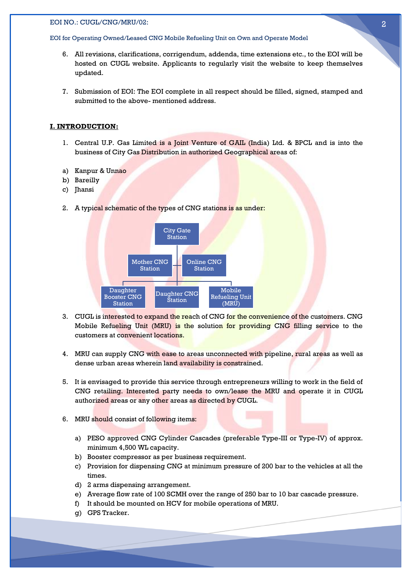#### EOI for Operating Owned/Leased CNG Mobile Refueling Unit on Own and Operate Model

- 6. All revisions, clarifications, corrigendum, addenda, time extensions etc., to the EOI will be hosted on CUGL website. Applicants to regularly visit the website to keep themselves updated.
- 7. Submission of EOI: The EOI complete in all respect should be filled, signed, stamped and submitted to the above- mentioned address.

#### **I. INTRODUCTION:**

- 1. Central U.P. Gas Limited is a Joint Venture of GAIL (India) Ltd. & BPCL and is into the business of City Gas Distribution in authorized Geographical areas of:
- a) Kanpur & Unnao
- b) Bareilly
- c) Jhansi
- 2. A typical schematic of the types of CNG stations is as under:



- 3. CUGL is interested to expand the reach of CNG for the convenience of the customers. CNG Mobile Refueling Unit (MRU) is the solution for providing CNG filling service to the customers at convenient locations.
- 4. MRU can supply CNG with ease to areas unconnected with pipeline, rural areas as well as dense urban areas wherein land availability is constrained.
- 5. It is envisaged to provide this service through entrepreneurs willing to work in the field of CNG retailing. Interested party needs to own/lease the MRU and operate it in CUGL authorized areas or any other areas as directed by CUGL.
- 6. MRU should consist of following items:
	- a) PESO approved CNG Cylinder Cascades (preferable Type-III or Type-IV) of approx. minimum 4,500 WL capacity.
	- b) Booster compressor as per business requirement.
	- c) Provision for dispensing CNG at minimum pressure of 200 bar to the vehicles at all the times.
	- d) 2 arms dispensing arrangement.
	- e) Average flow rate of 100 SCMH over the range of 250 bar to 10 bar cascade pressure.
	- f) It should be mounted on HCV for mobile operations of MRU.
	- g) GPS Tracker.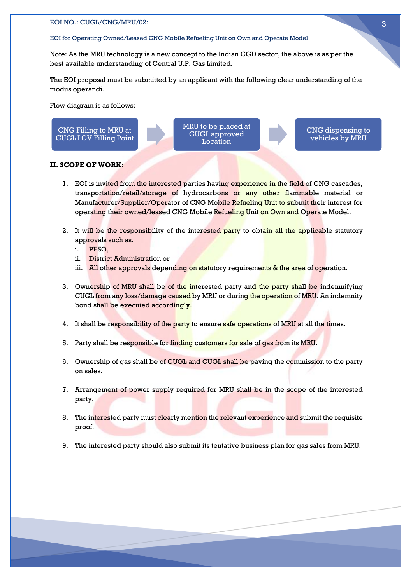#### EOI for Operating Owned/Leased CNG Mobile Refueling Unit on Own and Operate Model

Note: As the MRU technology is a new concept to the Indian CGD sector, the above is as per the best available understanding of Central U.P. Gas Limited.

The EOI proposal must be submitted by an applicant with the following clear understanding of the modus operandi.

Flow diagram is as follows:

CNG Filling to MRU at CUGL LCV Filling Point MRU to be placed at CUGL approved Location

CNG dispensing to vehicles by MRU

#### **II. SCOPE OF WORK:**

- 1. EOI is invited from the interested parties having experience in the field of CNG cascades, transportation/retail/storage of hydrocarbons or any other flammable material or Manufacturer/Supplier/Operator of CNG Mobile Refueling Unit to submit their interest for operating their owned/leased CNG Mobile Refueling Unit on Own and Operate Model.
- 2. It will be the responsibility of the interested party to obtain all the applicable statutory approvals such as.
	- i. PESO,
	- ii. District Administration or
	- iii. All other approvals depending on statutory requirements & the area of operation.
- 3. Ownership of MRU shall be of the interested party and the party shall be indemnifying CUGL from any loss/damage caused by MRU or during the operation of MRU. An indemnity bond shall be executed accordingly.
- 4. It shall be responsibility of the party to ensure safe operations of MRU at all the times.
- 5. Party shall be responsible for finding customers for sale of gas from its MRU.
- 6. Ownership of gas shall be of CUGL and CUGL shall be paying the commission to the party on sales.
- 7. Arrangement of power supply required for MRU shall be in the scope of the interested party.
- 8. The interested party must clearly mention the relevant experience and submit the requisite proof.
- 9. The interested party should also submit its tentative business plan for gas sales from MRU.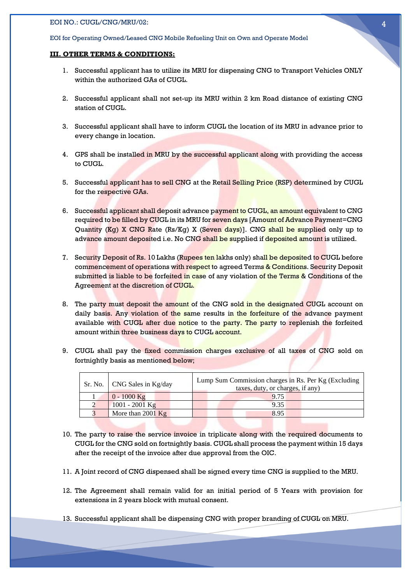#### EOI for Operating Owned/Leased CNG Mobile Refueling Unit on Own and Operate Model

#### **III. OTHER TERMS & CONDITIONS:**

- 1. Successful applicant has to utilize its MRU for dispensing CNG to Transport Vehicles ONLY within the authorized GAs of CUGL.
- 2. Successful applicant shall not set-up its MRU within 2 km Road distance of existing CNG station of CUGL.
- 3. Successful applicant shall have to inform CUGL the location of its MRU in advance prior to every change in location.
- 4. GPS shall be installed in MRU by the successful applicant along with providing the access to CUGL.
- 5. Successful applicant has to sell CNG at the Retail Selling Price (RSP) determined by CUGL for the respective GAs.
- 6. Successful applicant shall deposit advance payment to CUGL, an amount equivalent to CNG required to be filled by CUGL in its MRU for seven days [Amount of Advance Payment=CNG Quantity (Kg) X CNG Rate (Rs/Kg) X (Seven days)]. CNG shall be supplied only up to advance amount deposited i.e. No CNG shall be supplied if deposited amount is utilized.
- 7. Security Deposit of Rs. 10 Lakhs (Rupees ten lakhs only) shall be deposited to CUGL before commencement of operations with respect to agreed Terms & Conditions. Security Deposit submitted is liable to be forfeited in case of any violation of the Terms & Conditions of the Agreement at the discretion of CUGL.
- 8. The party must deposit the amount of the CNG sold in the designated CUGL account on daily basis. Any violation of the same results in the forfeiture of the advance payment available with CUGL after due notice to the party. The party to replenish the forfeited amount within three business days to CUGL account.
- 9. CUGL shall pay the fixed commission charges exclusive of all taxes of CNG sold on fortnightly basis as mentioned below;

| Sr. No.   CNG Sales in Kg/day | Lump Sum Commission charges in Rs. Per Kg (Excluding)<br>taxes, duty, or charges, if any) |
|-------------------------------|-------------------------------------------------------------------------------------------|
| $0 - 1000$ Kg                 | 9.75                                                                                      |
| $1001 - 2001$ Kg              | 9.35                                                                                      |
| More than $2001$ Kg           | 8.95                                                                                      |
|                               |                                                                                           |

- 10. The party to raise the service invoice in triplicate along with the required documents to CUGL for the CNG sold on fortnightly basis. CUGL shall process the payment within 15 days after the receipt of the invoice after due approval from the OIC.
- 11. A Joint record of CNG dispensed shall be signed every time CNG is supplied to the MRU.
- 12. The Agreement shall remain valid for an initial period of 5 Years with provision for extensions in 2 years block with mutual consent.
- 13. Successful applicant shall be dispensing CNG with proper branding of CUGL on MRU.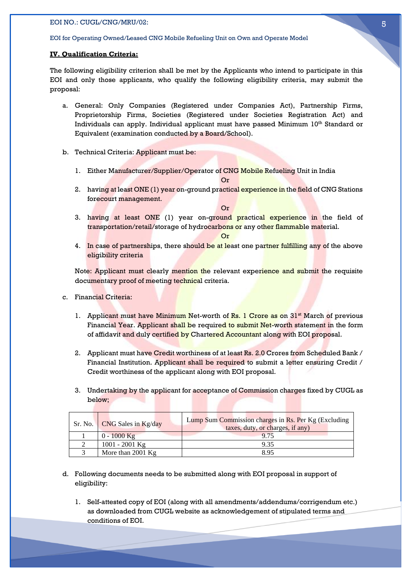#### EOI for Operating Owned/Leased CNG Mobile Refueling Unit on Own and Operate Model

#### **IV. Qualification Criteria:**

The following eligibility criterion shall be met by the Applicants who intend to participate in this EOI and only those applicants, who qualify the following eligibility criteria, may submit the proposal:

- a. General: Only Companies (Registered under Companies Act), Partnership Firms, Proprietorship Firms, Societies (Registered under Societies Registration Act) and Individuals can apply. Individual applicant must have passed Minimum 10th Standard or Equivalent (examination conducted by a Board/School).
- b. Technical Criteria: Applicant must be:
	- 1. Either Manufacturer/Supplier/Operator of CNG Mobile Refueling Unit in India Or

2. having at least ONE (1) year on-ground practical experience in the field of CNG Stations forecourt management.

Or

3. having at least ONE (1) year on-ground practical experience in the field of transportation/retail/storage of hydrocarbons or any other flammable material.

Or

4. In case of partnerships, there should be at least one partner fulfilling any of the above eligibility criteria

Note: Applicant must clearly mention the relevant experience and submit the requisite documentary proof of meeting technical criteria.

- c. Financial Criteria:
	- 1. Applicant must have Minimum Net-worth of Rs. 1 Crore as on  $31<sup>st</sup>$  March of previous Financial Year. Applicant shall be required to submit Net-worth statement in the form of affidavit and duly certified by Chartered Accountant along with EOI proposal.
	- 2. Applicant must have Credit worthiness of at least Rs. 2.0 Crores from Scheduled Bank / Financial Institution. Applicant shall be required to submit a letter ensuring Credit / Credit worthiness of the applicant along with EOI proposal.
	- 3. Undertaking by the applicant for acceptance of Commission charges fixed by CUGL as below;

| Sr. No. <b>CNG</b> Sales in Kg/day | Lump Sum Commission charges in Rs. Per Kg (Excluding<br>taxes, duty, or charges, if any) |
|------------------------------------|------------------------------------------------------------------------------------------|
| $0 - 1000$ Kg                      | 9.75                                                                                     |
| $1001 - 2001$ Kg                   | 9.35                                                                                     |
| More than $2001$ Kg                | 895                                                                                      |

- d. Following documents needs to be submitted along with EOI proposal in support of eligibility:
	- 1. Self-attested copy of EOI (along with all amendments/addendums/corrigendum etc.) as downloaded from CUGL website as acknowledgement of stipulated terms and conditions of EOI.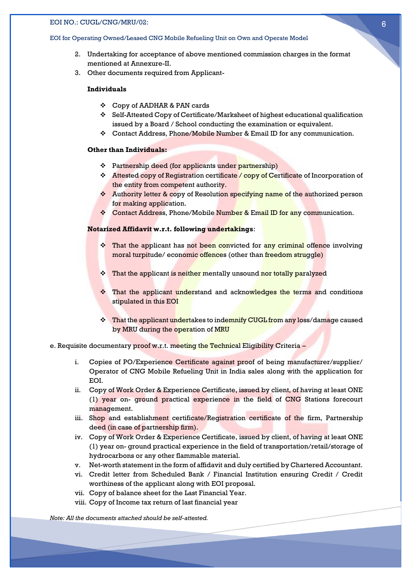#### EOI for Operating Owned/Leased CNG Mobile Refueling Unit on Own and Operate Model

- 2. Undertaking for acceptance of above mentioned commission charges in the format mentioned at Annexure-II.
- 3. Other documents required from Applicant-

#### **Individuals**

- ❖ Copy of AADHAR & PAN cards
- ❖ Self-Attested Copy of Certificate/Marksheet of highest educational qualification issued by a Board / School conducting the examination or equivalent.
- ❖ Contact Address, Phone/Mobile Number & Email ID for any communication.

#### **Other than Individuals:**

- ❖ Partnership deed (for applicants under partnership)
- ❖ Attested copy of Registration certificate / copy of Certificate of Incorporation of the entity from competent authority.
- ❖ Authority letter & copy of Resolution specifying name of the authorized person for making application.
- ❖ Contact Address, Phone/Mobile Number & Email ID for any communication.

#### **Notarized Affidavit w.r.t. following undertakings**:

- ❖ That the applicant has not been convicted for any criminal offence involving moral turpitude/ economic offences (other than freedom struggle)
- ❖ That the applicant is neither mentally unsound nor totally paralyzed
- ❖ That the applicant understand and acknowledges the terms and conditions stipulated in this EOI
- ❖ That the applicant undertakes to indemnify CUGL from any loss/damage caused by MRU during the operation of MRU
- e. Requisite documentary proof w.r.t. meeting the Technical Eligibility Criteria
	- i. Copies of PO/Experience Certificate against proof of being manufacturer/supplier/ Operator of CNG Mobile Refueling Unit in India sales along with the application for EOI.
	- ii. Copy of Work Order & Experience Certificate, issued by client, of having at least ONE (1) year on- ground practical experience in the field of CNG Stations forecourt management.
	- iii. Shop and establishment certificate/Registration certificate of the firm, Partnership deed (in case of partnership firm).
	- iv. Copy of Work Order & Experience Certificate, issued by client, of having at least ONE (1) year on- ground practical experience in the field of transportation/retail/storage of hydrocarbons or any other flammable material.
	- v. Net-worth statement in the form of affidavit and duly certified by Chartered Accountant.
	- vi. Credit letter from Scheduled Bank / Financial Institution ensuring Credit / Credit worthiness of the applicant along with EOI proposal.
	- vii. Copy of balance sheet for the Last Financial Year.
	- viii. Copy of Income tax return of last financial year

*Note: All the documents attached should be self-attested.*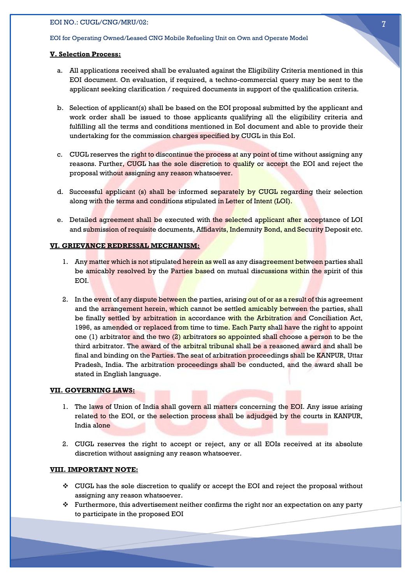#### EOI for Operating Owned/Leased CNG Mobile Refueling Unit on Own and Operate Model

#### **V. Selection Process:**

- a. All applications received shall be evaluated against the Eligibility Criteria mentioned in this EOI document. On evaluation, if required, a techno-commercial query may be sent to the applicant seeking clarification / required documents in support of the qualification criteria.
- b. Selection of applicant(s) shall be based on the EOI proposal submitted by the applicant and work order shall be issued to those applicants qualifying all the eligibility criteria and fulfilling all the terms and conditions mentioned in EoI document and able to provide their undertaking for the commission charges specified by CUGL in this EoI.
- c. CUGL reserves the right to discontinue the process at any point of time without assigning any reasons. Further, CUGL has the sole discretion to qualify or accept the EOI and reject the proposal without assigning any reason whatsoever.
- d. Successful applicant (s) shall be informed separately by CUGL regarding their selection along with the terms and conditions stipulated in Letter of Intent (LOI).
- e. Detailed agreement shall be executed with the selected applicant after acceptance of LOI and submission of requisite documents, Affidavits, Indemnity Bond, and Security Deposit etc.

#### **VI. GRIEVANCE REDRESSAL MECHANISM:**

- 1. Any matter which is not stipulated herein as well as any disagreement between parties shall be amicably resolved by the Parties based on mutual discussions within the spirit of this EOI.
- 2. In the event of any dispute between the parties, arising out of or as a result of this agreement and the arrangement herein, which cannot be settled amicably between the parties, shall be finally settled by arbitration in accordance with the Arbitration and Conciliation Act, 1996, as amended or replaced from time to time. Each Party shall have the right to appoint one (1) arbitrator and the two (2) arbitrators so appointed shall choose a person to be the third arbitrator. The award of the arbitral tribunal shall be a reasoned award and shall be final and binding on the Parties. The seat of arbitration proceedings shall be KANPUR, Uttar Pradesh, India. The arbitration proceedings shall be conducted, and the award shall be stated in English language.

#### **VII. GOVERNING LAWS:**

- 1. The laws of Union of India shall govern all matters concerning the EOI. Any issue arising related to the EOI, or the selection process shall be adjudged by the courts in KANPUR, India alone
- 2. CUGL reserves the right to accept or reject, any or all EOIs received at its absolute discretion without assigning any reason whatsoever.

#### **VIII. IMPORTANT NOTE:**

- ❖ CUGL has the sole discretion to qualify or accept the EOI and reject the proposal without assigning any reason whatsoever.
- $\cdot \cdot$  Furthermore, this advertisement neither confirms the right nor an expectation on any party to participate in the proposed EOI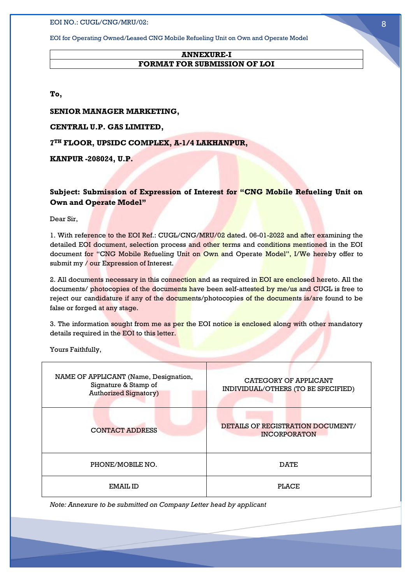EOI for Operating Owned/Leased CNG Mobile Refueling Unit on Own and Operate Model

#### **ANNEXURE-I FORMAT FOR SUBMISSION OF LOI**

**To,**

**SENIOR MANAGER MARKETING,**

**CENTRAL U.P. GAS LIMITED,**

**7 TH FLOOR, UPSIDC COMPLEX, A-1/4 LAKHANPUR,**

**KANPUR -208024, U.P.**

#### **Subject: Submission of Expression of Interest for "CNG Mobile Refueling Unit on Own and Operate Model"**

Dear Sir,

1. With reference to the EOI Ref.: CUGL/CNG/MRU/02 dated. 06-01-2022 and after examining the detailed EOI document, selection process and other terms and conditions mentioned in the EOI document for "CNG Mobile Refueling Unit on Own and Operate Model", I/We hereby offer to submit my / our Expression of Interest.

2. All documents necessary in this connection and as required in EOI are enclosed hereto. All the documents/ photocopies of the documents have been self-attested by me/us and CUGL is free to reject our candidature if any of the documents/photocopies of the documents is/are found to be false or forged at any stage.

3. The information sought from me as per the EOI notice is enclosed along with other mandatory details required in the EOI to this letter.

Yours Faithfully,

| NAME OF APPLICANT (Name, Designation,<br>Signature & Stamp of<br><b>Authorized Signatory)</b> | CATEGORY OF APPLICANT<br>INDIVIDUAL/OTHERS (TO BE SPECIFIED) |
|-----------------------------------------------------------------------------------------------|--------------------------------------------------------------|
| <b>CONTACT ADDRESS</b>                                                                        | DETAILS OF REGISTRATION DOCUMENT/<br><b>INCORPORATON</b>     |
| PHONE/MOBILE NO.                                                                              | <b>DATE</b>                                                  |
| EMAIL ID                                                                                      | <b>PLACE</b>                                                 |

*Note: Annexure to be submitted on Company Letter head by applicant*